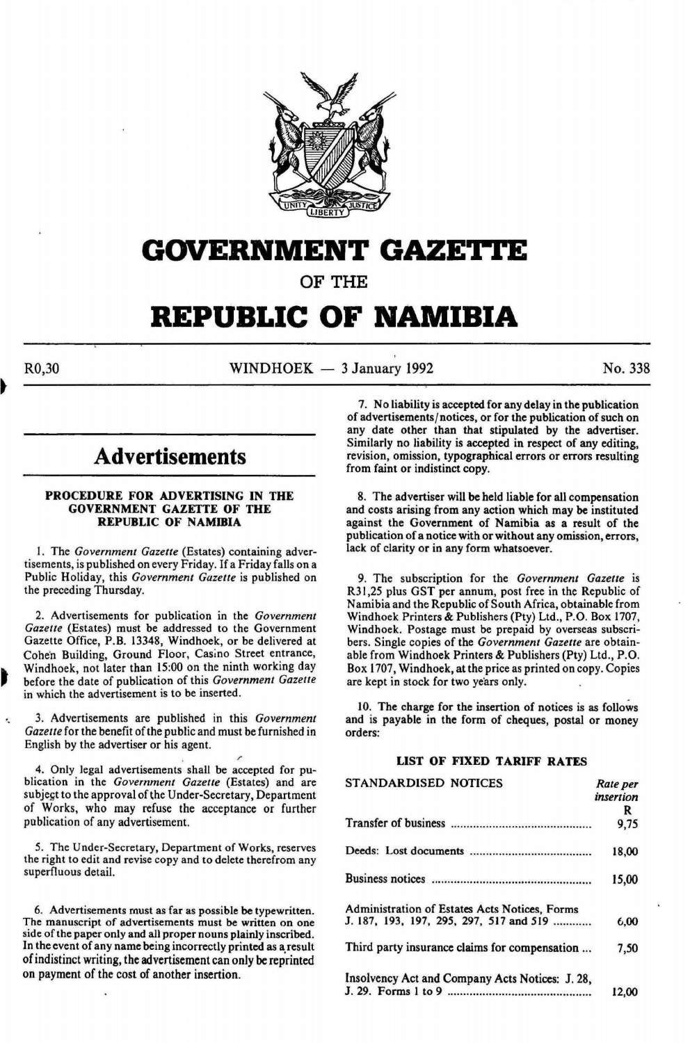

# **GOVERNMENT GAZE'ri'E**

OF THE

# **REPUBLIC OF NAMIBIA**

R0,30 WINDHOEK - 3 January 1992 No. 338

# **Advertisements**

#### PROCEDURE FOR ADVERTISING IN THE GOVERNMENT GAZETTE OF THE REPUBLIC OF NAMIBIA

I. The *Government Gazette* (Estates) containing advertisements, is published on every Friday. If a Friday falls on a Public Holiday, this *Government Gazette* is published on the preceding Thursday.

2. Advertisements for publication in the *Government Gazette* (Estates) must be addressed to the Government Gazette Office, P.B. 13348, Windhoek, or be delivered at Cohen Building, Ground Floor, Casino Street entrance, Windhoek, not later than 15:00 on the ninth working day before the date of publication of this *Government Gazette*  in which the advertisement is to be inserted.

3. Advertisements are published in this *Government Gazette* for the benefit of the public and must be furnished in English by the advertiser or his agent.

4. Only legal advertisements shall be accepted for publication in the *Government Gazette* (Estates) and are subjegt to the approval of the Under-Secretary, Department of Works, who may refuse the acceptance or further publication of any advertisement.

5. The Under-Secretary, Department of Works, reserves the right to edit and revise copy and to delete therefrom any superfluous detail.

6. Advertisements must as far as possible be typewritten. The manuscript of advertisements must be written on one side of the paper only and all proper nouns plainly inscribed. In the event of any name being incorrectly printed as a, result of indistinct writing, the advertisement can only be reprinted on payment of the cost of another insertion.

7. No liability is accepted for any delay in the publication of advertisements/notices, or for the publication of such on any date other than that stipulated by the advertiser. Similarly no liability is accepted in respect of any editing, revision, omission, typographical errors or errors resulting from faint or indistinct copy.

8. The advertiser will be held liable for all compensation and costs arising from any action which may be instituted against the Government of Namibia as a result of the publication of a notice with or without any omission, errors, lack of clarity or in any form whatsoever.

9. The subscription for the *Government Gazette* is R31 ,25 plus GST per annum, post free in the Republic of Namibia and the Republic of South Africa, obtainable from Windhoek Printers & Publishers (Pty) Ltd., P.O. Box 1707, Windhoek. Postage must be prepaid by overseas subscribers. Single copies of the *Government Gazette* are obtainable from Windhoek Printers & Publishers (Pty) Ltd., P.O. Box 1707, Windhoek, at the price as printed on copy. Copies are kept in stock for two years only.

10. The charge for the insertion of notices is as follows and is payable in the form of cheques, postal or money orders:

# LIST OF FIXED TARIFF RATES

| STANDARDISED NOTICES                            | Rate per  |
|-------------------------------------------------|-----------|
|                                                 | insertion |
|                                                 | R         |
|                                                 | 9.75      |
|                                                 | 18,00     |
|                                                 | 15,00     |
| Administration of Estates Acts Notices, Forms   |           |
| J. 187, 193, 197, 295, 297, 517 and 519         | 6.00      |
| Third party insurance claims for compensation   | 7,50      |
| Insolvency Act and Company Acts Notices: J. 28, |           |
|                                                 | 12.00     |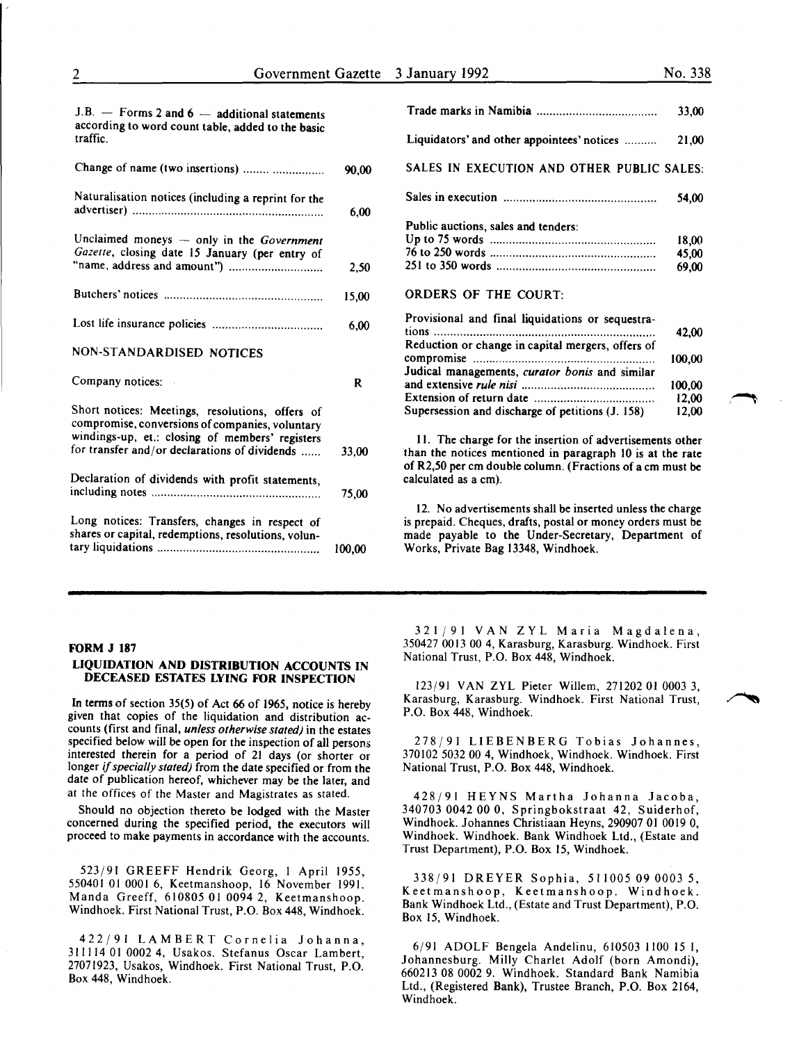| J.B. $-$ Forms 2 and 6 $-$ additional statements<br>according to word count table, added to the basic<br>traffic.                                                                                      |        |
|--------------------------------------------------------------------------------------------------------------------------------------------------------------------------------------------------------|--------|
| Change of name (two insertions)                                                                                                                                                                        | 90.00  |
| Naturalisation notices (including a reprint for the                                                                                                                                                    | 6,00   |
| Unclaimed moneys - only in the Government<br>Gazette, closing date 15 January (per entry of                                                                                                            | 2,50   |
|                                                                                                                                                                                                        | 15,00  |
|                                                                                                                                                                                                        | 6,00   |
| NON-STANDARDISED NOTICES                                                                                                                                                                               |        |
| Company notices:                                                                                                                                                                                       | R      |
| Short notices: Meetings, resolutions, offers of<br>compromise, conversions of companies, voluntary<br>windings-up, et.: closing of members' registers<br>for transfer and/or declarations of dividends | 33,00  |
| Declaration of dividends with profit statements,                                                                                                                                                       | 75,00  |
| Long notices: Transfers, changes in respect of<br>shares or capital, redemptions, resolutions, volun-                                                                                                  | 100,00 |
|                                                                                                                                                                                                        |        |

|                                                   | 33,00  |
|---------------------------------------------------|--------|
| Liquidators' and other appointees' notices        | 21,00  |
| SALES IN EXECUTION AND OTHER PUBLIC SALES:        |        |
|                                                   | 54,00  |
| Public auctions, sales and tenders:               |        |
|                                                   | 18,00  |
|                                                   | 45,00  |
|                                                   | 69,00  |
| <b>ORDERS OF THE COURT:</b>                       |        |
| Provisional and final liquidations or sequestra-  |        |
| tions                                             | 42,00  |
| Reduction or change in capital mergers, offers of |        |
|                                                   | 100,00 |
| Judical managements, curator bonis and similar    |        |
|                                                   | 100.00 |
|                                                   | 12,00  |
| Supersession and discharge of petitions (J. 158)  | 12.00  |
|                                                   |        |

II. The charge for the insertion of advertisements other than the notices mentioned in paragraph lO is at the rate of R2,50 per em double column. (Fractions of a em must be calculated as a em).

12. No advertisements shall be inserted unless the charge is prepaid. Cheques, drafts, postal or money orders must be made payable to the Under-Secretary, Department of Works, Private Bag 13348, Windhoek.

#### FORM J 187

# LIQUIDATION AND DISTRIBUTION ACCOUNTS IN DECEASED ESTATES LYING FOR INSPECTION

In terms of section 35(5) of Act 66 of 1965, notice is hereby given that copies of the liquidation and distribution accounts (first and final, *unless otherwise stated)* in the estates specified below will be open for the inspection of all persons interested therein for a period of 21 days (or shorter or longer if *specially stated)* from the date specified or from the date of publication hereof, whichever may be the later, and at the offices of the Master and Magistrates as stated.

Should no objection thereto be lodged with the Master concerned during the specified period, the executors will proceed to make payments in accordance with the accounts.

523/91 GREEFF Hendrik Georg, I April *1955,*  550401 01 0001 6, Keetmanshoop, 16 November 1991. Manda Greeff, 610805 01 0094 2, Keetmanshoop. Windhoek. First National Trust, P.O. Box 448, Windhoek.

422/91 LAMBERT Cornelia Johanna, 311114 01 0002 4, Usakos. Stefanus Oscar Lambert, 27071923, Usakos, Windhoek. First National Trust, P.O. Box 448, Windhoek.

321/91 VAN ZYL Maria Magdalena, 350427 0013 00 4, Karasburg, Karasburg. Windhoek. First National Trust, P.O. Box 448, Windhoek.

123/91 VAN ZYL Pieter Willem, 271202 01 0003 3, Karasburg, Karasburg. Windhoek. First National Trust, P.O. Box 448, Windhoek.

278/91 LIESENBERG Tobias Johannes, 370102 5032 00 4, Windhoek, Windhoek. Windhoek. First National Trust, P.O. Box 448, Windhoek.

428/91 HEYNS Martha Johanna Jacoba, 340703 0042 00 0, Springbokstraat 42, Suiderhof, Windhoek. Johannes Christiaan Heyns, 290907 01 0019 0, Windhoek. Windhoek. Bank Windhoek Ltd., (Estate and Trust Department), P.O. Box *15,* Windhoek.

338/91 DREYER Sophia, 511005 09 0003 *5,*  Keetmanshoop, Keetmanshoop. Windhoek. Bank Windhoek Ltd., (Estate and Trust Department), P.O. Box 15, Windhoek.

6/91 ADOLF Bengela Andelinu, 610503 1100 15 I, Johannesburg. Milly Charlet Adolf (born Amondi), 660213 08 0002 9. Windhoek. Standard Bank Namibia Ltd., (Registered Bank), Trustee Branch, P.O. Box 2164, Windhoek.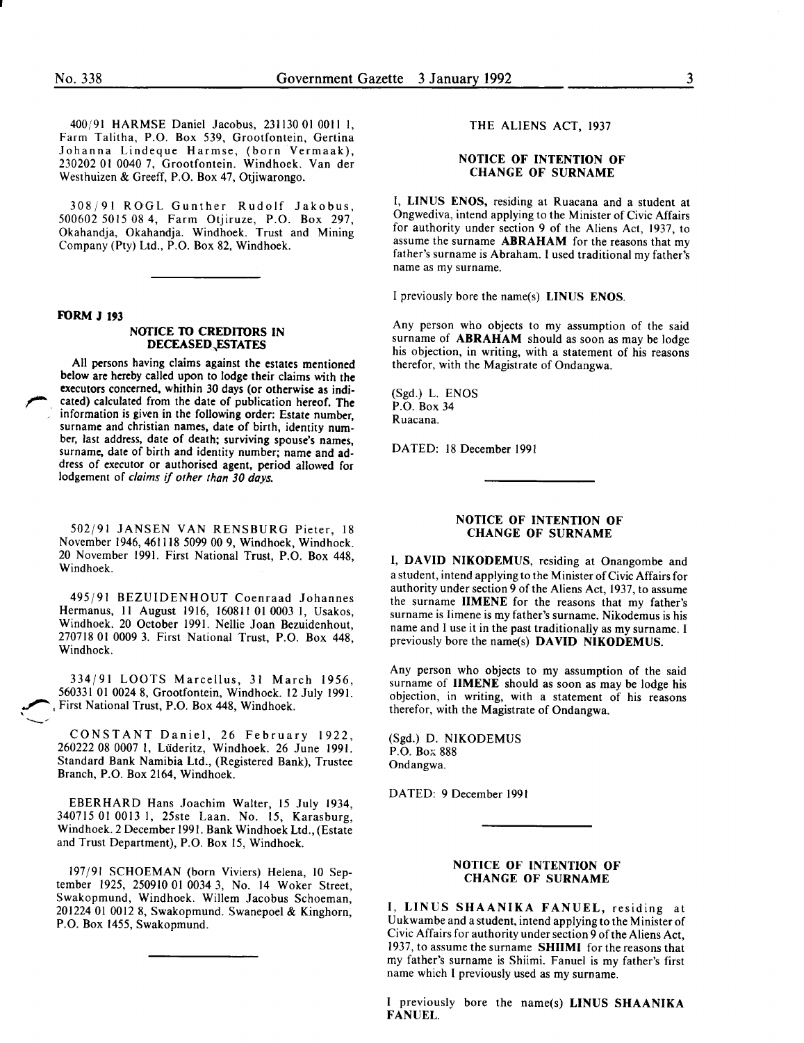400/91 HARMSE Daniel Jacobus, 231130 010011 I, Farm Talitha, P.O. Box S39, Grootfontein, Gertina Johanna Lindeque Harmse, (born Vermaak), 230202 01 0040 7, Grootfontein. Windhoek. Van der Westhuizen & Greeff, P.O. Box 47, Otjiwarongo.

308/91 ROGL Gunther Rudolf Jakobus, S00602 SOlS 08 4, Farm Otjiruze, P.O. Box 297, Okahandja, Okahandja. Windhoek. Trust and Mining Company (Pty) Ltd., P.O. Box 82, Windhoek.

# FORM J 193

#### NOTICE TO CREDITORS IN DECEASED,ESTATES

*r.*  All persons having claims against the estates mentioned below are hereby called upon to lodge their claims with the executors concerned, whithin 30 days (or otherwise as indicated) calculated from the date of publication hereof. The information is given in the following order: Estate number, surname and christian names, date of birth, identity number, last address, date of death; surviving spouse's names, surname, date of birth and identity number; name and address of executor or authorised agent, period allowed for lodgement of *claims* if *other than 30 days.* 

S02/91 JANSEN VAN RENSBURG Pieter, 18 November 1946, 461118 S099 00 9, Windhoek, Windhoek. 20 November 1991. First National Trust, P.O. Box 448, Windhoek.

49S/91 BEZUIDENHOUT Coenraad Johannes Hermanus, 11 August 1916, 160811 01 0003 1, Usakos, Windhoek. 20 October 1991. Nellie Joan Bezuidenhout, 270718 01 0009 3. First National Trust, P.O. Box 448, Windhoek.

334/91 LOOTS Marcellus, 31 March 19S6, S60331 01 0024 8, Grootfontein, Windhoek. 12 July 1991. , First National Trust, P.O. Box 448, Windhoek.  $\bigcirc$ 

CONSTANT Daniel, 26 February 1922, 260222 08 0007 I, Liideritz, Windhoek. 26 June 1991. Standard Bank Namibia Ltd., (Registered Bank), Trustee Branch, P.O. Box 2164, Windhoek.

EBERHARD Hans Joachim Walter, IS July 1934, 34071S 01 0013 I, 2Sste Laan. No. IS, Karasburg, Windhoek. 2 December 1991. Bank Windhoek Ltd., (Estate and Trust Department), P.O. Box IS, Windhoek.

197/91 SCHOEMAN (born Viviers) Helena, 10 September 192S, 2S0910 01 0034 3, No. 14 Woker Street, Swakopmund, Windhoek. Willem Jacobus Schoeman, 201224 01 0012 8, Swakopmund. Swanepoel & Kinghorn, P.O. Box 14SS, Swakopmund.

# THE ALIENS ACT, 1937

### NOTICE OF INTENTION OF CHANGE OF SURNAME

I, LINUS ENOS, residing at Ruacana and a student at Ongwediva, intend applying to the Minister of Civic Affairs for authority under section 9 of the Aliens Act, 1937, to assume the surname **ABRAHAM** for the reasons that my father's surname is Abraham. I used traditional my father's name as my surname.

I previously bore the name(s) LINUS ENOS.

Any person who objects to my assumption of the said surname of ABRAHAM should as soon as may be lodge his objection, in writing, with a statement of his reasons therefor, with the Magistrate of Ondangwa.

(Sgd.) L. ENOS P.O. Box 34 Ruacana.

DATED: 18 December 1991

### NOTICE OF INTENTION OF CHANGE OF SURNAME

I, DAVID NIKODEMUS, residing at Onangombe and a student, intend applying to the Minister of Civic Affairs for authority under section 9 of the Aliens Act, 1937, to assume the surname IIMENE for the reasons that my father's surname is Iimene is my father's surname. Nikodemus is his name and I use it in the past traditionally as my surname. I previously bore the name(s) DAVID NIKODEMUS.

Any person who objects to my assumption of the said surname of **IIMENE** should as soon as may be lodge his objection, in writing, with a statement of his reasons therefor, with the Magistrate of Ondangwa.

(Sgd.) D. NIKODEMUS P.O. Box 888 Ondangwa.

DATED: 9 December 1991

# NOTICE OF INTENTION OF CHANGE OF SURNAME

I, LINUS SHAANIKA FANUEL, residing at Uukwambe and a student, intend applying to the Minister of Civic Affairs for authority under section 9 of the Aliens Act, 1937, to assume the surname SHIIMI for the reasons that my father's surname is Shiimi. Fanuel is my father's first name which I previously used as my surname.

I previously bore the name(s) LINUS SHAANIKA FANUEL.